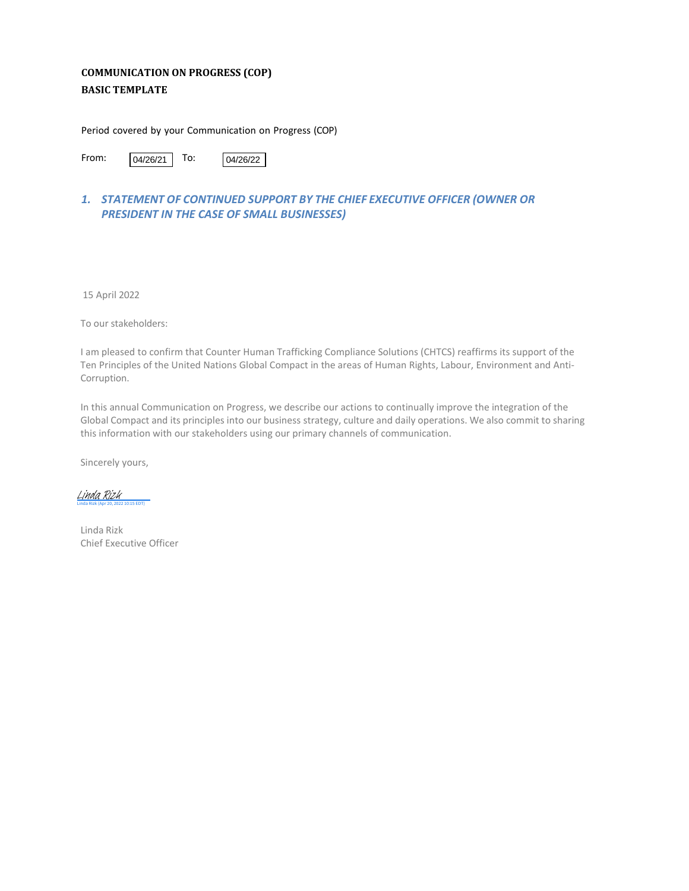# **COMMUNICATION ON PROGRESS (COP) BASIC TEMPLATE**

Period covered by your Communication on Progress (COP)

From:  $04/26/21$  To: 04/26/22

# *1. STATEMENT OF CONTINUED SUPPORT BY THE CHIEF EXECUTIVE OFFICER (OWNER OR PRESIDENT IN THE CASE OF SMALL BUSINESSES)*

15 April 2022

To our stakeholders:

I am pleased to confirm that Counter Human Trafficking Compliance Solutions (CHTCS) reaffirms its support of the Ten Principles of the United Nations Global Compact in the areas of Human Rights, Labour, Environment and Anti-Corruption.

In this annual Communication on Progress, we describe our actions to continually improve the integration of the Global Compact and its principles into our business strategy, culture and daily operations. We also commit to sharing this information with our stakeholders using our primary channels of communication.

Sincerely yours,

Linda Rizk (Apr 20, 2022 10:15 EDT) [Linda Rizk](https://na1.documents.adobe.com/verifier?tx=CBJCHBCAABAAd3b2tFPQO7NdfZN5Z0Ny8f9nRY4MjA1-)

Linda Rizk Chief Executive Officer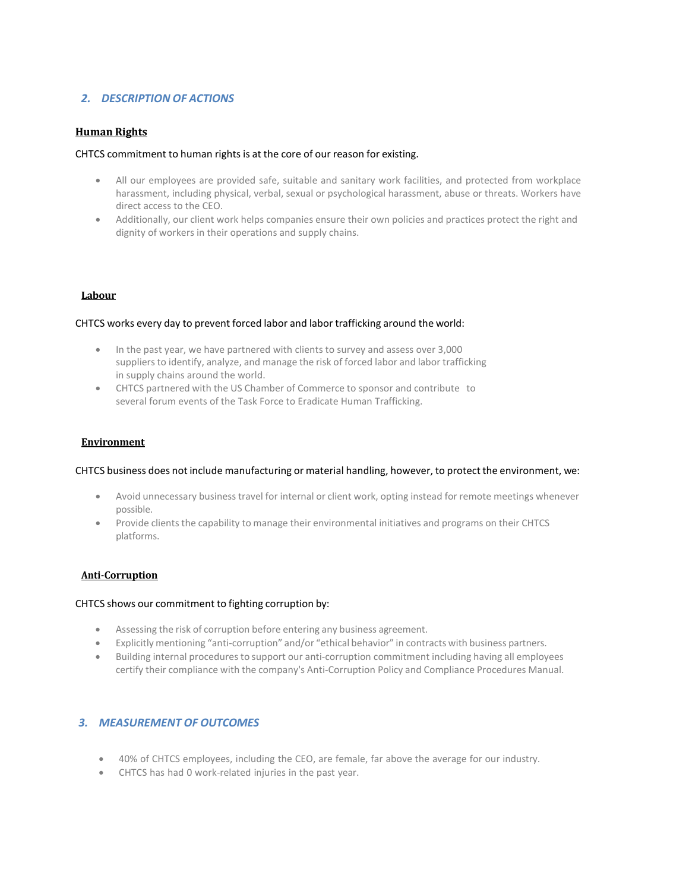### *2. DESCRIPTION OF ACTIONS*

#### **Human Rights**

#### CHTCS commitment to human rights is at the core of our reason for existing.

- All our employees are provided safe, suitable and sanitary work facilities, and protected from workplace harassment, including physical, verbal, sexual or psychological harassment, abuse or threats. Workers have direct access to the CEO.
- Additionally, our client work helps companies ensure their own policies and practices protect the right and dignity of workers in their operations and supply chains.

#### **Labour**

#### CHTCS works every day to prevent forced labor and labor trafficking around the world:

- In the past year, we have partnered with clients to survey and assess over 3,000 suppliers to identify, analyze, and manage the risk of forced labor and labor trafficking in supply chains around the world.
- CHTCS partnered with the US Chamber of Commerce to sponsor and contribute to several forum events of the Task Force to Eradicate Human Trafficking.

#### **Environment**

#### CHTCS business does not include manufacturing or material handling, however, to protect the environment, we:

- Avoid unnecessary business travel for internal or client work, opting instead for remote meetings whenever possible.
- Provide clients the capability to manage their environmental initiatives and programs on their CHTCS platforms.

#### **Anti-Corruption**

#### CHTCS shows our commitment to fighting corruption by:

- Assessing the risk of corruption before entering any business agreement.
- Explicitly mentioning "anti-corruption" and/or "ethical behavior" in contracts with business partners.
- Building internal procedures to support our anti-corruption commitment including having all employees certify their compliance with the company's Anti-Corruption Policy and Compliance Procedures Manual.

#### *3. MEASUREMENT OF OUTCOMES*

- 40% of CHTCS employees, including the CEO, are female, far above the average for our industry.
- CHTCS has had 0 work-related injuries in the past year.